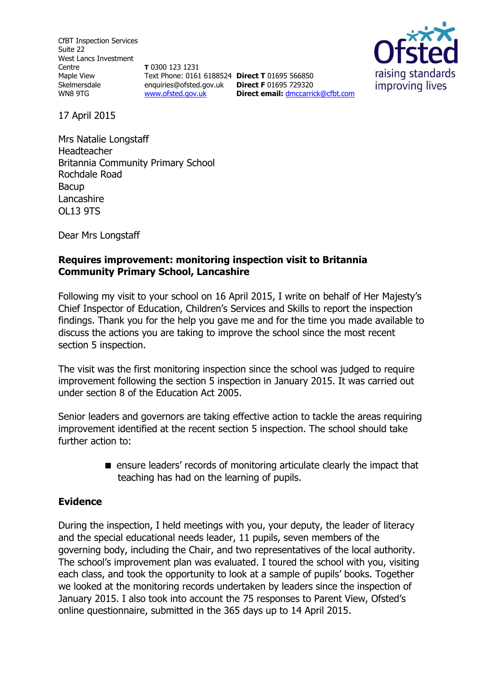CfBT Inspection Services Suite 22 West Lancs Investment Centre Maple View Skelmersdale WN8 9TG

**T** 0300 123 1231 Text Phone: 0161 6188524 **Direct T** 01695 566850 enquiries@ofsted.gov.uk **Direct F** 01695 729320 [www.ofsted.gov.uk](http://www.ofsted.gov.uk/)

**Direct email:** [dmccarrick@cfbt.com](file:///C:/Users/mwilliams1/AppData/Local/Microsoft/Windows/Temporary%20Internet%20Files/Content.IE5/S4HGHK0B/dmccarrick@cfbt.com)



17 April 2015

Mrs Natalie Longstaff Headteacher Britannia Community Primary School Rochdale Road Bacup Lancashire OL13 9TS

Dear Mrs Longstaff

# **Requires improvement: monitoring inspection visit to Britannia Community Primary School, Lancashire**

Following my visit to your school on 16 April 2015, I write on behalf of Her Majesty's Chief Inspector of Education, Children's Services and Skills to report the inspection findings. Thank you for the help you gave me and for the time you made available to discuss the actions you are taking to improve the school since the most recent section 5 inspection.

The visit was the first monitoring inspection since the school was judged to require improvement following the section 5 inspection in January 2015. It was carried out under section 8 of the Education Act 2005.

Senior leaders and governors are taking effective action to tackle the areas requiring improvement identified at the recent section 5 inspection. The school should take further action to:

> **E** ensure leaders' records of monitoring articulate clearly the impact that teaching has had on the learning of pupils.

#### **Evidence**

During the inspection, I held meetings with you, your deputy, the leader of literacy and the special educational needs leader, 11 pupils, seven members of the governing body, including the Chair, and two representatives of the local authority. The school's improvement plan was evaluated. I toured the school with you, visiting each class, and took the opportunity to look at a sample of pupils' books. Together we looked at the monitoring records undertaken by leaders since the inspection of January 2015. I also took into account the 75 responses to Parent View, Ofsted's online questionnaire, submitted in the 365 days up to 14 April 2015.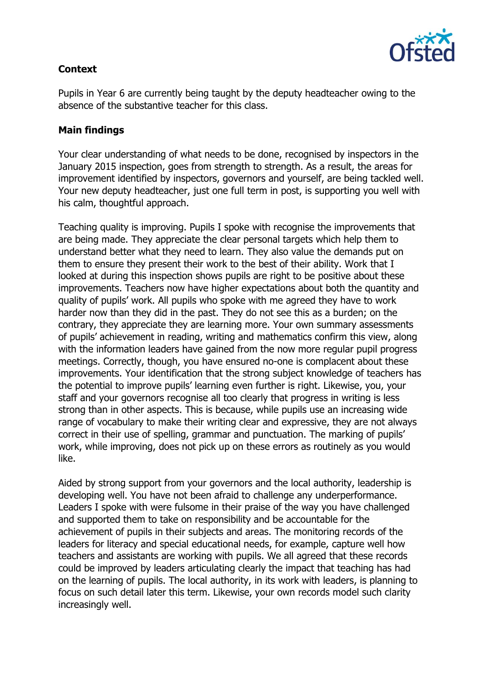

# **Context**

Pupils in Year 6 are currently being taught by the deputy headteacher owing to the absence of the substantive teacher for this class.

### **Main findings**

Your clear understanding of what needs to be done, recognised by inspectors in the January 2015 inspection, goes from strength to strength. As a result, the areas for improvement identified by inspectors, governors and yourself, are being tackled well. Your new deputy headteacher, just one full term in post, is supporting you well with his calm, thoughtful approach.

Teaching quality is improving. Pupils I spoke with recognise the improvements that are being made. They appreciate the clear personal targets which help them to understand better what they need to learn. They also value the demands put on them to ensure they present their work to the best of their ability. Work that I looked at during this inspection shows pupils are right to be positive about these improvements. Teachers now have higher expectations about both the quantity and quality of pupils' work. All pupils who spoke with me agreed they have to work harder now than they did in the past. They do not see this as a burden; on the contrary, they appreciate they are learning more. Your own summary assessments of pupils' achievement in reading, writing and mathematics confirm this view, along with the information leaders have gained from the now more regular pupil progress meetings. Correctly, though, you have ensured no-one is complacent about these improvements. Your identification that the strong subject knowledge of teachers has the potential to improve pupils' learning even further is right. Likewise, you, your staff and your governors recognise all too clearly that progress in writing is less strong than in other aspects. This is because, while pupils use an increasing wide range of vocabulary to make their writing clear and expressive, they are not always correct in their use of spelling, grammar and punctuation. The marking of pupils' work, while improving, does not pick up on these errors as routinely as you would like.

Aided by strong support from your governors and the local authority, leadership is developing well. You have not been afraid to challenge any underperformance. Leaders I spoke with were fulsome in their praise of the way you have challenged and supported them to take on responsibility and be accountable for the achievement of pupils in their subjects and areas. The monitoring records of the leaders for literacy and special educational needs, for example, capture well how teachers and assistants are working with pupils. We all agreed that these records could be improved by leaders articulating clearly the impact that teaching has had on the learning of pupils. The local authority, in its work with leaders, is planning to focus on such detail later this term. Likewise, your own records model such clarity increasingly well.